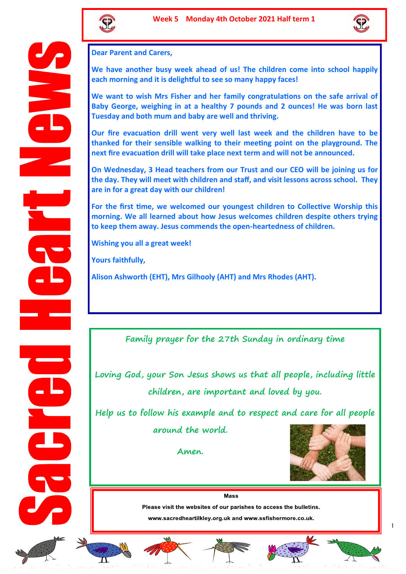



**Dear Parent and Carers,** 

**We have another busy week ahead of us! The children come into school happily each morning and it is delightful to see so many happy faces!** 

**We want to wish Mrs Fisher and her family congratulations on the safe arrival of Baby George, weighing in at a healthy 7 pounds and 2 ounces! He was born last Tuesday and both mum and baby are well and thriving.** 

**Our fire evacuation drill went very well last week and the children have to be thanked for their sensible walking to their meeting point on the playground. The next fire evacuation drill will take place next term and will not be announced.** 

**On Wednesday, 3 Head teachers from our Trust and our CEO will be joining us for the day. They will meet with children and staff, and visit lessons across school. They are in for a great day with our children!**

**For the first time, we welcomed our youngest children to Collective Worship this morning. We all learned about how Jesus welcomes children despite others trying to keep them away. Jesus commends the open-heartedness of children.** 

**Wishing you all a great week!**

**Yours faithfully,**

**Alison Ashworth (EHT), Mrs Gilhooly (AHT) and Mrs Rhodes (AHT).**

**Family prayer for the 27th Sunday in ordinary time**

**Loving God, your Son Jesus shows us that all people, including little children, are important and loved by you.** 

**Help us to follow his example and to respect and care for all people around the world.** 

**Amen.** 



**Mass** Please visit the websites of our parishes to access the bulletins. www.sacredheartilkley.org.uk and www.ssfishermore.co.uk.













1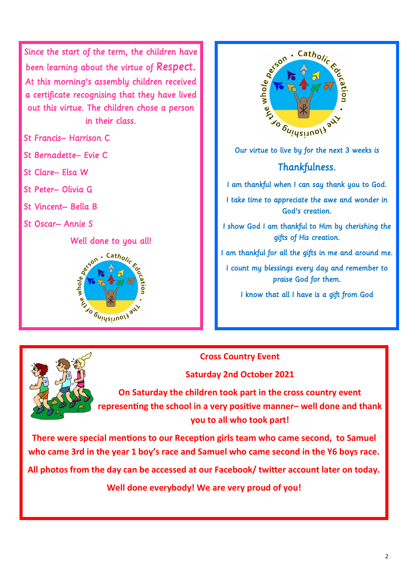Since the start of the term, the children have been learning about the virtue of Respect. At this morning's assembly children received a certificate recognising that they have lived out this virtue. The children chose a person in their class.

St Francis– Harrison C

St Bernadette– Evie C

- St Clare– Elsa W
- St Peter– Olivia G
- St Vincent– Bella B
- St Oscar– Annie S

Well done to you all!





**Cross Country Event** 

**Saturday 2nd October 2021**

**On Saturday the children took part in the cross country event representing the school in a very positive manner– well done and thank you to all who took part!** 

**There were special mentions to our Reception girls team who came second, to Samuel who came 3rd in the year 1 boy's race and Samuel who came second in the Y6 boys race.** 

**All photos from the day can be accessed at our Facebook/ twitter account later on today.** 

**Well done everybody! We are very proud of you!**